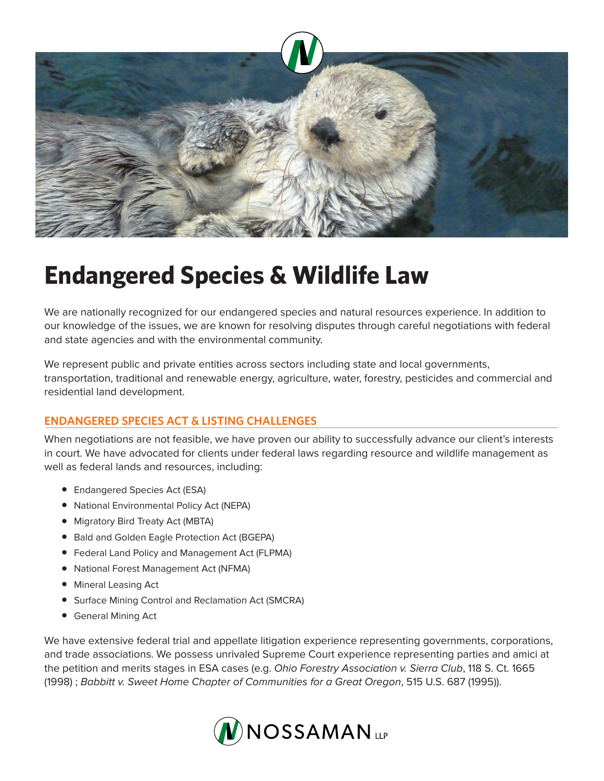

# **Endangered Species & Wildlife Law**

We are nationally recognized for our endangered species and natural resources experience. In addition to our knowledge of the issues, we are known for resolving disputes through careful negotiations with federal and state agencies and with the environmental community.

We represent public and private entities across sectors including state and local governments, transportation, traditional and renewable energy, agriculture, water, forestry, pesticides and commercial and residential land development.

## **ENDANGERED SPECIES ACT & LISTING CHALLENGES**

When negotiations are not feasible, we have proven our ability to successfully advance our client's interests in court. We have advocated for clients under federal laws regarding resource and wildlife management as well as federal lands and resources, including:

- Endangered Species Act (ESA)
- National Environmental Policy Act (NEPA)
- Migratory Bird Treaty Act (MBTA)
- Bald and Golden Eagle Protection Act (BGEPA)
- Federal Land Policy and Management Act (FLPMA)
- National Forest Management Act (NFMA)
- Mineral Leasing Act
- Surface Mining Control and Reclamation Act (SMCRA)
- General Mining Act

We have extensive federal trial and appellate litigation experience representing governments, corporations, and trade associations. We possess unrivaled Supreme Court experience representing parties and amici at the petition and merits stages in ESA cases (e.g. *Ohio Forestry Association v. Sierra Club*, 118 S. Ct. 1665 (1998) ; *Babbitt v. Sweet Home Chapter of Communities for a Great Oregon*, 515 U.S. 687 (1995)).

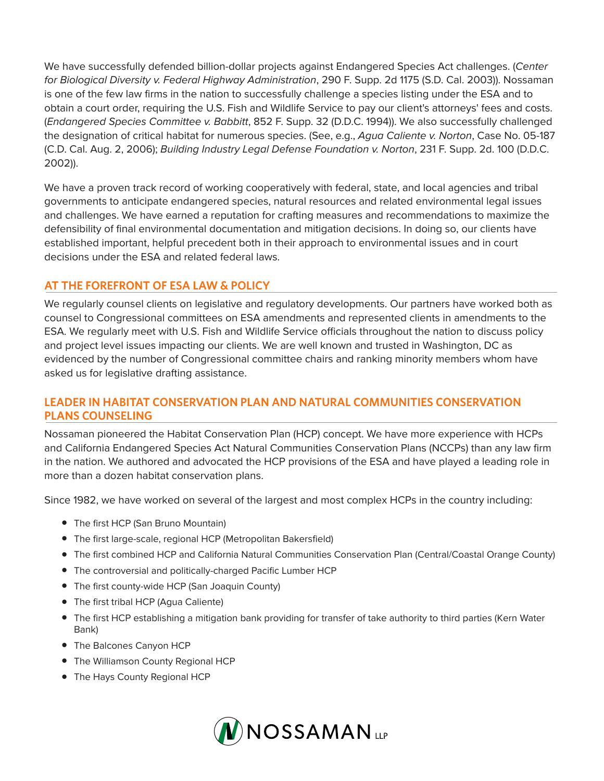We have successfully defended billion-dollar projects against Endangered Species Act challenges. (*Center for Biological Diversity v. Federal Highway Administration*, 290 F. Supp. 2d 1175 (S.D. Cal. 2003)). Nossaman is one of the few law firms in the nation to successfully challenge a species listing under the ESA and to obtain a court order, requiring the U.S. Fish and Wildlife Service to pay our client's attorneys' fees and costs. (*Endangered Species Committee v. Babbitt*, 852 F. Supp. 32 (D.D.C. 1994)). We also successfully challenged the designation of critical habitat for numerous species. (See, e.g., *Agua Caliente v. Norton*, Case No. 05-187 (C.D. Cal. Aug. 2, 2006); *Building Industry Legal Defense Foundation v. Norton*, 231 F. Supp. 2d. 100 (D.D.C. 2002)).

We have a proven track record of working cooperatively with federal, state, and local agencies and tribal governments to anticipate endangered species, natural resources and related environmental legal issues and challenges. We have earned a reputation for crafting measures and recommendations to maximize the defensibility of final environmental documentation and mitigation decisions. In doing so, our clients have established important, helpful precedent both in their approach to environmental issues and in court decisions under the ESA and related federal laws.

### **AT THE FOREFRONT OF ESA LAW & POLICY**

We regularly counsel clients on legislative and regulatory developments. Our partners have worked both as counsel to Congressional committees on ESA amendments and represented clients in amendments to the ESA. We regularly meet with U.S. Fish and Wildlife Service officials throughout the nation to discuss policy and project level issues impacting our clients. We are well known and trusted in Washington, DC as evidenced by the number of Congressional committee chairs and ranking minority members whom have asked us for legislative drafting assistance.

#### **LEADER IN HABITAT CONSERVATION PLAN AND NATURAL COMMUNITIES CONSERVATION PLANS COUNSELING**

Nossaman pioneered the Habitat Conservation Plan (HCP) concept. We have more experience with HCPs and California Endangered Species Act Natural Communities Conservation Plans (NCCPs) than any law firm in the nation. We authored and advocated the HCP provisions of the ESA and have played a leading role in more than a dozen habitat conservation plans.

Since 1982, we have worked on several of the largest and most complex HCPs in the country including:

- The first HCP (San Bruno Mountain)
- The first large-scale, regional HCP (Metropolitan Bakersfield)
- The first combined HCP and California Natural Communities Conservation Plan (Central/Coastal Orange County)
- The controversial and politically-charged Pacific Lumber HCP
- The first county-wide HCP (San Joaquin County)
- The first tribal HCP (Agua Caliente)
- The first HCP establishing a mitigation bank providing for transfer of take authority to third parties (Kern Water Bank)
- The Balcones Canyon HCP
- The Williamson County Regional HCP
- The Hays County Regional HCP